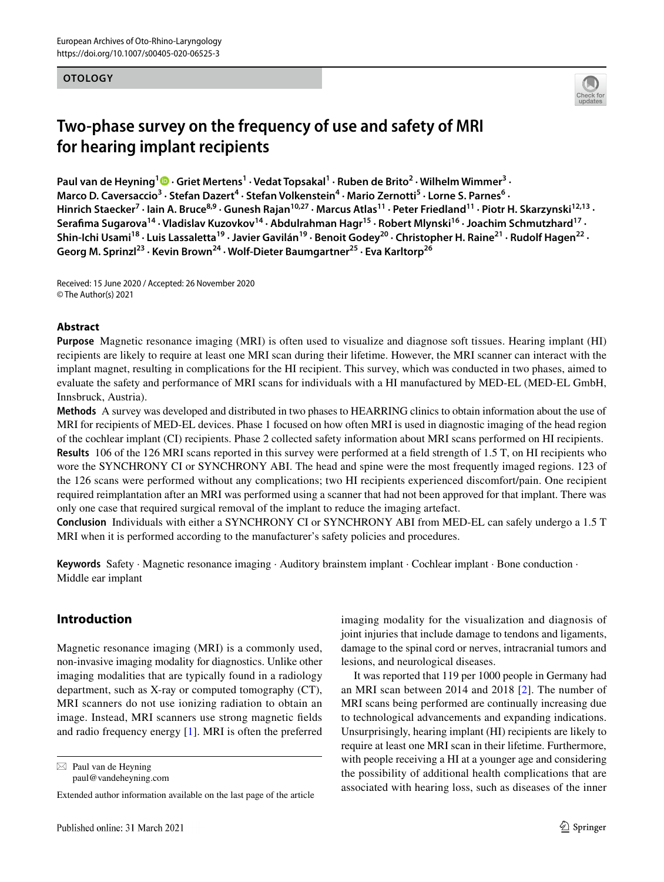#### **OTOLOGY**



# **Two‑phase survey on the frequency of use and safety of MRI for hearing implant recipients**

Paul van de Heyning<sup>1</sup><sup>®</sup> [·](http://orcid.org/0000-0002-8424-3717) Griet Mertens<sup>1</sup> · Vedat Topsakal<sup>1</sup> · Ruben de Brito<sup>2</sup> · Wilhelm Wimmer<sup>3</sup> · Marco D. Caversaccio<sup>3</sup> · Stefan Dazert<sup>4</sup> · Stefan Volkenstein<sup>4</sup> · Mario Zernotti<sup>5</sup> · Lorne S. Parnes<sup>6</sup> · Hinrich Staecker<sup>7</sup> · Iain A. Bruce<sup>8,9</sup> · Gunesh Rajan<sup>10,27</sup> · Marcus Atlas<sup>11</sup> · Peter Friedland<sup>11</sup> · Piotr H. Skarzynski<sup>12,13</sup> · Serafima Sugarova<sup>14</sup> · Vladislav Kuzovkov<sup>14</sup> · Abdulrahman Hagr<sup>15</sup> · Robert Mlynski<sup>16</sup> · Joachim Schmutzhard<sup>17</sup> · Shin-Ichi Usami<sup>18</sup> · Luis Lassaletta<sup>19</sup> · Javier Gavilán<sup>19</sup> · Benoit Godey<sup>20</sup> · Christopher H. Raine<sup>21</sup> · Rudolf Hagen<sup>22</sup> · **Georg M. Sprinzl23 · Kevin Brown24 · Wolf‑Dieter Baumgartner25 · Eva Karltorp26**

Received: 15 June 2020 / Accepted: 26 November 2020 © The Author(s) 2021

#### **Abstract**

**Purpose** Magnetic resonance imaging (MRI) is often used to visualize and diagnose soft tissues. Hearing implant (HI) recipients are likely to require at least one MRI scan during their lifetime. However, the MRI scanner can interact with the implant magnet, resulting in complications for the HI recipient. This survey, which was conducted in two phases, aimed to evaluate the safety and performance of MRI scans for individuals with a HI manufactured by MED-EL (MED-EL GmbH, Innsbruck, Austria).

**Methods** A survey was developed and distributed in two phases to HEARRING clinics to obtain information about the use of MRI for recipients of MED-EL devices. Phase 1 focused on how often MRI is used in diagnostic imaging of the head region of the cochlear implant (CI) recipients. Phase 2 collected safety information about MRI scans performed on HI recipients. **Results** 106 of the 126 MRI scans reported in this survey were performed at a feld strength of 1.5 T, on HI recipients who wore the SYNCHRONY CI or SYNCHRONY ABI. The head and spine were the most frequently imaged regions. 123 of the 126 scans were performed without any complications; two HI recipients experienced discomfort/pain. One recipient required reimplantation after an MRI was performed using a scanner that had not been approved for that implant. There was only one case that required surgical removal of the implant to reduce the imaging artefact.

**Conclusion** Individuals with either a SYNCHRONY CI or SYNCHRONY ABI from MED-EL can safely undergo a 1.5 T MRI when it is performed according to the manufacturer's safety policies and procedures.

**Keywords** Safety · Magnetic resonance imaging · Auditory brainstem implant · Cochlear implant · Bone conduction · Middle ear implant

### **Introduction**

Magnetic resonance imaging (MRI) is a commonly used, non-invasive imaging modality for diagnostics. Unlike other imaging modalities that are typically found in a radiology department, such as X-ray or computed tomography (CT), MRI scanners do not use ionizing radiation to obtain an image. Instead, MRI scanners use strong magnetic felds and radio frequency energy [\[1](#page-7-0)]. MRI is often the preferred

 $\boxtimes$  Paul van de Heyning paul@vandeheyning.com imaging modality for the visualization and diagnosis of joint injuries that include damage to tendons and ligaments, damage to the spinal cord or nerves, intracranial tumors and lesions, and neurological diseases.

It was reported that 119 per 1000 people in Germany had an MRI scan between 2014 and 2018 [\[2](#page-7-1)]. The number of MRI scans being performed are continually increasing due to technological advancements and expanding indications. Unsurprisingly, hearing implant (HI) recipients are likely to require at least one MRI scan in their lifetime. Furthermore, with people receiving a HI at a younger age and considering the possibility of additional health complications that are associated with hearing loss, such as diseases of the inner

Extended author information available on the last page of the article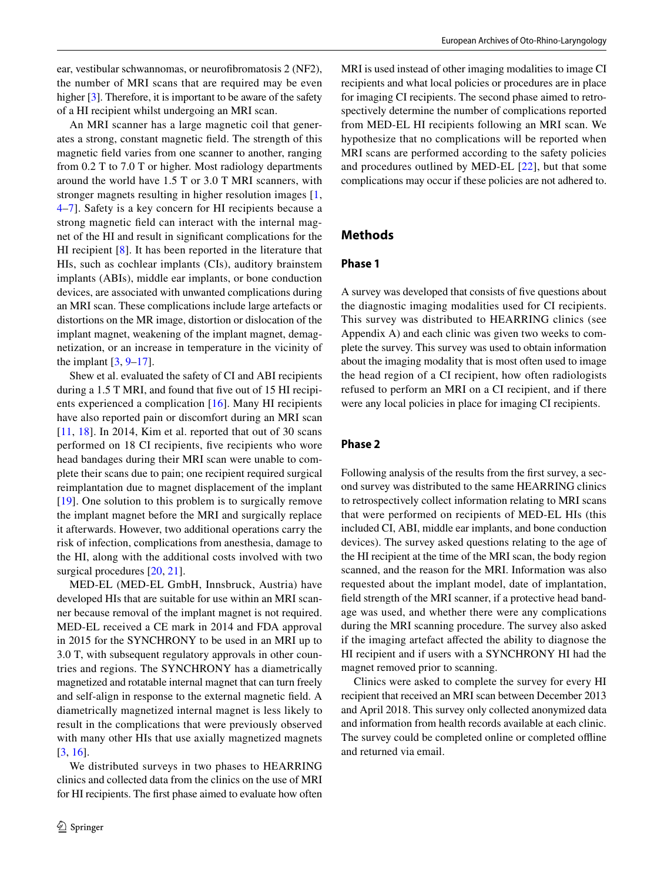ear, vestibular schwannomas, or neurofbromatosis 2 (NF2), the number of MRI scans that are required may be even higher [[3\]](#page-7-2). Therefore, it is important to be aware of the safety of a HI recipient whilst undergoing an MRI scan.

An MRI scanner has a large magnetic coil that generates a strong, constant magnetic feld. The strength of this magnetic feld varies from one scanner to another, ranging from 0.2 T to 7.0 T or higher. Most radiology departments around the world have 1.5 T or 3.0 T MRI scanners, with stronger magnets resulting in higher resolution images [[1,](#page-7-0) [4](#page-7-3)[–7\]](#page-7-4). Safety is a key concern for HI recipients because a strong magnetic feld can interact with the internal magnet of the HI and result in signifcant complications for the HI recipient [\[8](#page-7-5)]. It has been reported in the literature that HIs, such as cochlear implants (CIs), auditory brainstem implants (ABIs), middle ear implants, or bone conduction devices, are associated with unwanted complications during an MRI scan. These complications include large artefacts or distortions on the MR image, distortion or dislocation of the implant magnet, weakening of the implant magnet, demagnetization, or an increase in temperature in the vicinity of the implant  $[3, 9-17]$  $[3, 9-17]$  $[3, 9-17]$  $[3, 9-17]$ .

Shew et al. evaluated the safety of CI and ABI recipients during a 1.5 T MRI, and found that fve out of 15 HI recipients experienced a complication [[16](#page-7-8)]. Many HI recipients have also reported pain or discomfort during an MRI scan [\[11,](#page-7-9) [18](#page-7-10)]. In 2014, Kim et al. reported that out of 30 scans performed on 18 CI recipients, fve recipients who wore head bandages during their MRI scan were unable to complete their scans due to pain; one recipient required surgical reimplantation due to magnet displacement of the implant [\[19\]](#page-7-11). One solution to this problem is to surgically remove the implant magnet before the MRI and surgically replace it afterwards. However, two additional operations carry the risk of infection, complications from anesthesia, damage to the HI, along with the additional costs involved with two surgical procedures [\[20,](#page-7-12) [21\]](#page-7-13).

MED-EL (MED-EL GmbH, Innsbruck, Austria) have developed HIs that are suitable for use within an MRI scanner because removal of the implant magnet is not required. MED-EL received a CE mark in 2014 and FDA approval in 2015 for the SYNCHRONY to be used in an MRI up to 3.0 T, with subsequent regulatory approvals in other countries and regions. The SYNCHRONY has a diametrically magnetized and rotatable internal magnet that can turn freely and self-align in response to the external magnetic feld. A diametrically magnetized internal magnet is less likely to result in the complications that were previously observed with many other HIs that use axially magnetized magnets [\[3](#page-7-2), [16\]](#page-7-8).

We distributed surveys in two phases to HEARRING clinics and collected data from the clinics on the use of MRI for HI recipients. The frst phase aimed to evaluate how often MRI is used instead of other imaging modalities to image CI recipients and what local policies or procedures are in place for imaging CI recipients. The second phase aimed to retrospectively determine the number of complications reported from MED-EL HI recipients following an MRI scan. We hypothesize that no complications will be reported when MRI scans are performed according to the safety policies and procedures outlined by MED-EL [[22](#page-7-14)], but that some complications may occur if these policies are not adhered to.

#### **Methods**

#### **Phase 1**

A survey was developed that consists of fve questions about the diagnostic imaging modalities used for CI recipients. This survey was distributed to HEARRING clinics (see Appendix A) and each clinic was given two weeks to complete the survey. This survey was used to obtain information about the imaging modality that is most often used to image the head region of a CI recipient, how often radiologists refused to perform an MRI on a CI recipient, and if there were any local policies in place for imaging CI recipients.

#### <span id="page-1-0"></span>**Phase 2**

Following analysis of the results from the frst survey, a second survey was distributed to the same HEARRING clinics to retrospectively collect information relating to MRI scans that were performed on recipients of MED-EL HIs (this included CI, ABI, middle ear implants, and bone conduction devices). The survey asked questions relating to the age of the HI recipient at the time of the MRI scan, the body region scanned, and the reason for the MRI. Information was also requested about the implant model, date of implantation, feld strength of the MRI scanner, if a protective head bandage was used, and whether there were any complications during the MRI scanning procedure. The survey also asked if the imaging artefact afected the ability to diagnose the HI recipient and if users with a SYNCHRONY HI had the magnet removed prior to scanning.

Clinics were asked to complete the survey for every HI recipient that received an MRI scan between December 2013 and April 2018. This survey only collected anonymized data and information from health records available at each clinic. The survey could be completed online or completed ofine and returned via email.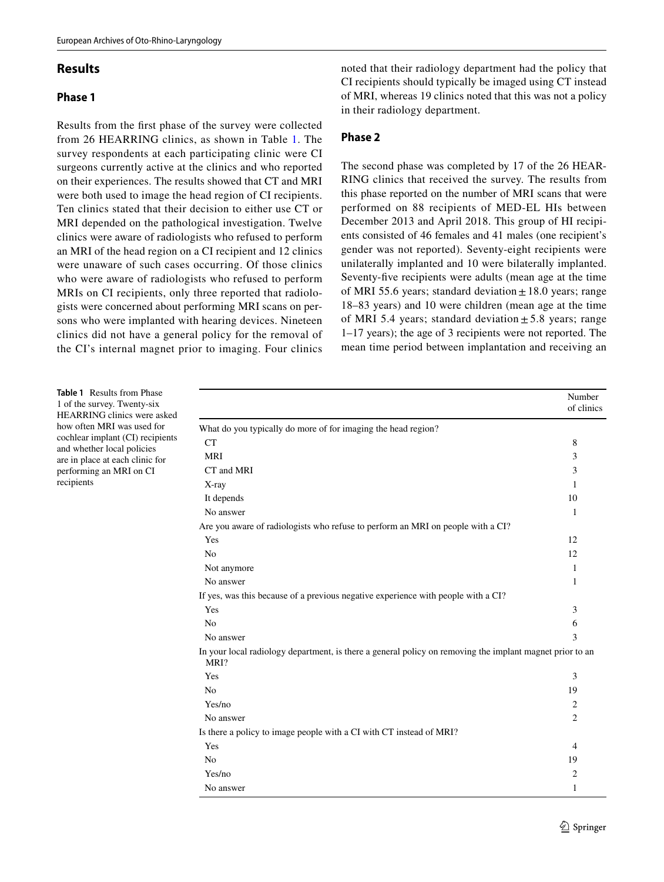#### **Results**

#### **Phase 1**

Results from the frst phase of the survey were collected from 26 HEARRING clinics, as shown in Table [1.](#page-2-0) The survey respondents at each participating clinic were CI surgeons currently active at the clinics and who reported on their experiences. The results showed that CT and MRI were both used to image the head region of CI recipients. Ten clinics stated that their decision to either use CT or MRI depended on the pathological investigation. Twelve clinics were aware of radiologists who refused to perform an MRI of the head region on a CI recipient and 12 clinics were unaware of such cases occurring. Of those clinics who were aware of radiologists who refused to perform MRIs on CI recipients, only three reported that radiologists were concerned about performing MRI scans on persons who were implanted with hearing devices. Nineteen clinics did not have a general policy for the removal of the CI's internal magnet prior to imaging. Four clinics noted that their radiology department had the policy that CI recipients should typically be imaged using CT instead of MRI, whereas 19 clinics noted that this was not a policy in their radiology department.

#### **Phase 2**

The second phase was completed by 17 of the 26 HEAR-RING clinics that received the survey. The results from this phase reported on the number of MRI scans that were performed on 88 recipients of MED-EL HIs between December 2013 and April 2018. This group of HI recipients consisted of 46 females and 41 males (one recipient's gender was not reported). Seventy-eight recipients were unilaterally implanted and 10 were bilaterally implanted. Seventy-fve recipients were adults (mean age at the time of MRI 55.6 years; standard deviation  $\pm$  18.0 years; range 18–83 years) and 10 were children (mean age at the time of MRI 5.4 years; standard deviation  $\pm$  5.8 years; range 1–17 years); the age of 3 recipients were not reported. The mean time period between implantation and receiving an

<span id="page-2-0"></span>

| Table 1 Results from Phase<br>1 of the survey. Twenty-six<br>HEARRING clinics were asked<br>how often MRI was used for<br>cochlear implant (CI) recipients<br>and whether local policies<br>are in place at each clinic for<br>performing an MRI on CI<br>recipients |                                                                                                                  | Number<br>of clinics |  |  |  |  |
|----------------------------------------------------------------------------------------------------------------------------------------------------------------------------------------------------------------------------------------------------------------------|------------------------------------------------------------------------------------------------------------------|----------------------|--|--|--|--|
|                                                                                                                                                                                                                                                                      | What do you typically do more of for imaging the head region?                                                    |                      |  |  |  |  |
|                                                                                                                                                                                                                                                                      | CT                                                                                                               | 8                    |  |  |  |  |
|                                                                                                                                                                                                                                                                      | <b>MRI</b>                                                                                                       | 3                    |  |  |  |  |
|                                                                                                                                                                                                                                                                      | CT and MRI                                                                                                       | 3                    |  |  |  |  |
|                                                                                                                                                                                                                                                                      | X-ray                                                                                                            | 1                    |  |  |  |  |
|                                                                                                                                                                                                                                                                      | It depends                                                                                                       | 10                   |  |  |  |  |
|                                                                                                                                                                                                                                                                      | No answer                                                                                                        | 1                    |  |  |  |  |
|                                                                                                                                                                                                                                                                      | Are you aware of radiologists who refuse to perform an MRI on people with a CI?                                  |                      |  |  |  |  |
|                                                                                                                                                                                                                                                                      | Yes                                                                                                              | 12                   |  |  |  |  |
|                                                                                                                                                                                                                                                                      | No                                                                                                               | 12                   |  |  |  |  |
|                                                                                                                                                                                                                                                                      | Not anymore                                                                                                      | 1                    |  |  |  |  |
|                                                                                                                                                                                                                                                                      | No answer                                                                                                        | 1                    |  |  |  |  |
|                                                                                                                                                                                                                                                                      | If yes, was this because of a previous negative experience with people with a CI?                                |                      |  |  |  |  |
|                                                                                                                                                                                                                                                                      | Yes                                                                                                              | 3                    |  |  |  |  |
|                                                                                                                                                                                                                                                                      | N <sub>0</sub>                                                                                                   | 6                    |  |  |  |  |
|                                                                                                                                                                                                                                                                      | No answer                                                                                                        | 3                    |  |  |  |  |
|                                                                                                                                                                                                                                                                      | In your local radiology department, is there a general policy on removing the implant magnet prior to an<br>MRI? |                      |  |  |  |  |
|                                                                                                                                                                                                                                                                      | Yes                                                                                                              | 3                    |  |  |  |  |
|                                                                                                                                                                                                                                                                      | N <sub>0</sub>                                                                                                   | 19                   |  |  |  |  |
|                                                                                                                                                                                                                                                                      | Yes/no                                                                                                           | 2                    |  |  |  |  |
|                                                                                                                                                                                                                                                                      | No answer                                                                                                        | 2                    |  |  |  |  |
|                                                                                                                                                                                                                                                                      | Is there a policy to image people with a CI with CT instead of MRI?                                              |                      |  |  |  |  |
|                                                                                                                                                                                                                                                                      | Yes                                                                                                              | 4                    |  |  |  |  |
|                                                                                                                                                                                                                                                                      | N <sub>0</sub>                                                                                                   | 19                   |  |  |  |  |
|                                                                                                                                                                                                                                                                      | Yes/no                                                                                                           | 2                    |  |  |  |  |
|                                                                                                                                                                                                                                                                      | No answer                                                                                                        | 1                    |  |  |  |  |
|                                                                                                                                                                                                                                                                      |                                                                                                                  |                      |  |  |  |  |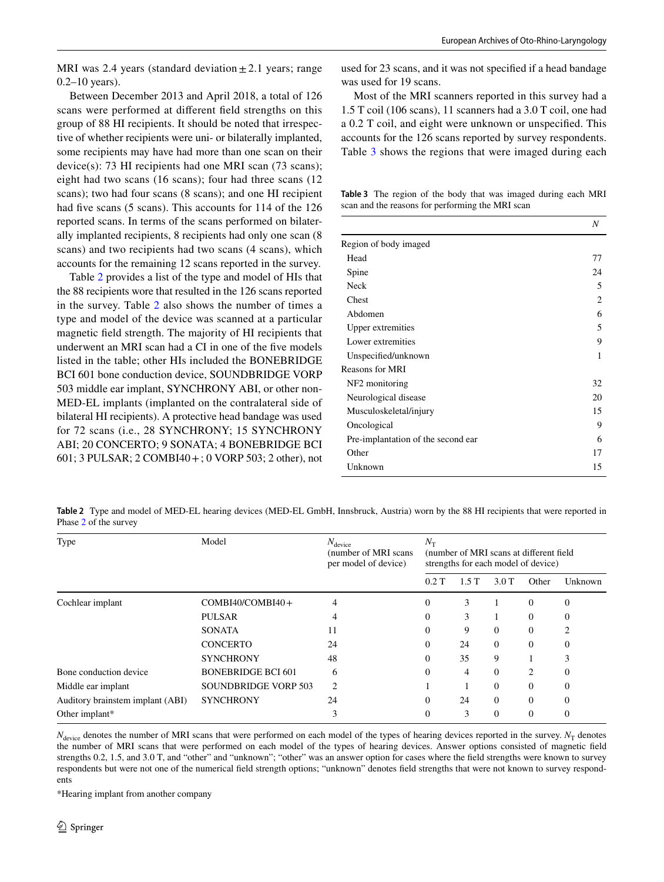MRI was 2.4 years (standard deviation  $\pm$  2.1 years; range 0.2–10 years).

Between December 2013 and April 2018, a total of 126 scans were performed at diferent feld strengths on this group of 88 HI recipients. It should be noted that irrespective of whether recipients were uni- or bilaterally implanted, some recipients may have had more than one scan on their device(s): 73 HI recipients had one MRI scan (73 scans); eight had two scans (16 scans); four had three scans (12 scans); two had four scans (8 scans); and one HI recipient had five scans (5 scans). This accounts for 114 of the 126 reported scans. In terms of the scans performed on bilaterally implanted recipients, 8 recipients had only one scan (8 scans) and two recipients had two scans (4 scans), which accounts for the remaining 12 scans reported in the survey.

Table [2](#page-3-0) provides a list of the type and model of HIs that the 88 recipients wore that resulted in the 126 scans reported in the survey. Table [2](#page-3-0) also shows the number of times a type and model of the device was scanned at a particular magnetic feld strength. The majority of HI recipients that underwent an MRI scan had a CI in one of the fve models listed in the table; other HIs included the BONEBRIDGE BCI 601 bone conduction device, SOUNDBRIDGE VORP 503 middle ear implant, SYNCHRONY ABI, or other non-MED-EL implants (implanted on the contralateral side of bilateral HI recipients). A protective head bandage was used for 72 scans (i.e., 28 SYNCHRONY; 15 SYNCHRONY ABI; 20 CONCERTO; 9 SONATA; 4 BONEBRIDGE BCI 601; 3 PULSAR; 2 COMBI40+; 0 VORP 503; 2 other), not

used for 23 scans, and it was not specifed if a head bandage was used for 19 scans.

Most of the MRI scanners reported in this survey had a 1.5 T coil (106 scans), 11 scanners had a 3.0 T coil, one had a 0.2 T coil, and eight were unknown or unspecifed. This accounts for the 126 scans reported by survey respondents. Table [3](#page-3-1) shows the regions that were imaged during each

<span id="page-3-1"></span>**Table 3** The region of the body that was imaged during each MRI scan and the reasons for performing the MRI scan

|                                    | N  |
|------------------------------------|----|
| Region of body imaged              |    |
| Head                               | 77 |
| Spine                              | 24 |
| <b>Neck</b>                        | 5  |
| Chest                              | 2  |
| Abdomen                            | 6  |
| Upper extremities                  | 5  |
| Lower extremities                  | 9  |
| Unspecified/unknown                | 1  |
| <b>Reasons for MRI</b>             |    |
| NF2 monitoring                     | 32 |
| Neurological disease               | 20 |
| Musculoskeletal/injury             | 15 |
| Oncological                        | 9  |
| Pre-implantation of the second ear | 6  |
| Other                              |    |
| Unknown                            | 15 |

<span id="page-3-0"></span>**Table 2** Type and model of MED-EL hearing devices (MED-EL GmbH, Innsbruck, Austria) worn by the 88 HI recipients that were reported in Phase [2](#page-1-0) of the survey

| Type                             | Model                       | $N_{\text{device}}$<br>(number of MRI scans)<br>per model of device) | $N_{\rm T}$<br>(number of MRI scans at different field)<br>strengths for each model of device) |      |          |                |              |
|----------------------------------|-----------------------------|----------------------------------------------------------------------|------------------------------------------------------------------------------------------------|------|----------|----------------|--------------|
|                                  |                             |                                                                      | 0.2T                                                                                           | 1.5T | 3.0T     | Other          | Unknown      |
| Cochlear implant                 | COMBI40/COMBI40+            | 4                                                                    | 0                                                                                              | 3    |          | $\Omega$       | 0            |
|                                  | <b>PULSAR</b>               |                                                                      | 0                                                                                              | 3    |          | $\Omega$       | $\Omega$     |
|                                  | <b>SONATA</b>               | 11                                                                   | $\Omega$                                                                                       | 9    | $\Omega$ | $\Omega$       |              |
|                                  | <b>CONCERTO</b>             | 24                                                                   | 0                                                                                              | 24   | $\Omega$ | $\Omega$       | 0            |
|                                  | <b>SYNCHRONY</b>            | 48                                                                   | $\Omega$                                                                                       | 35   | 9        |                | $\sim$<br>J. |
| Bone conduction device           | <b>BONEBRIDGE BCI 601</b>   | 6                                                                    |                                                                                                | 4    | $\Omega$ | $\mathfrak{D}$ | $\Omega$     |
| Middle ear implant               | <b>SOUNDBRIDGE VORP 503</b> | $\overline{c}$                                                       |                                                                                                |      | $\Omega$ | $\Omega$       | 0            |
| Auditory brainstem implant (ABI) | <b>SYNCHRONY</b>            | 24                                                                   | $\Omega$                                                                                       | 24   | $\Omega$ | $\Omega$       | 0            |
| Other implant*                   |                             |                                                                      | 0                                                                                              | 3    | $\Omega$ | $\Omega$       | 0            |

 $N_{\text{device}}$  denotes the number of MRI scans that were performed on each model of the types of hearing devices reported in the survey.  $N_T$  denotes the number of MRI scans that were performed on each model of the types of hearing devices. Answer options consisted of magnetic feld strengths 0.2, 1.5, and 3.0 T, and "other" and "unknown"; "other" was an answer option for cases where the feld strengths were known to survey respondents but were not one of the numerical feld strength options; "unknown" denotes feld strengths that were not known to survey respondents

\*Hearing implant from another company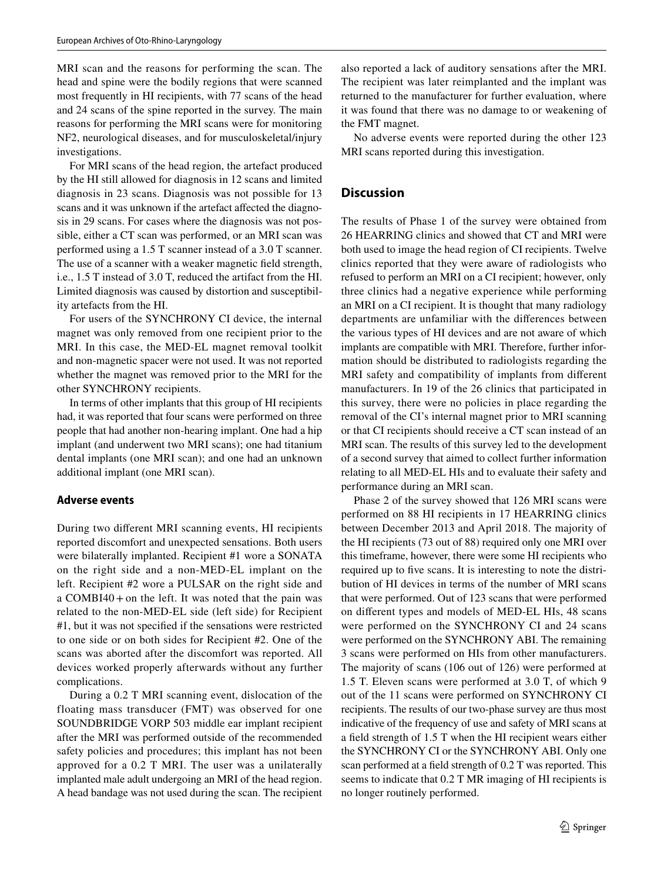MRI scan and the reasons for performing the scan. The head and spine were the bodily regions that were scanned most frequently in HI recipients, with 77 scans of the head and 24 scans of the spine reported in the survey. The main reasons for performing the MRI scans were for monitoring NF2, neurological diseases, and for musculoskeletal/injury investigations.

For MRI scans of the head region, the artefact produced by the HI still allowed for diagnosis in 12 scans and limited diagnosis in 23 scans. Diagnosis was not possible for 13 scans and it was unknown if the artefact affected the diagnosis in 29 scans. For cases where the diagnosis was not possible, either a CT scan was performed, or an MRI scan was performed using a 1.5 T scanner instead of a 3.0 T scanner. The use of a scanner with a weaker magnetic feld strength, i.e., 1.5 T instead of 3.0 T, reduced the artifact from the HI. Limited diagnosis was caused by distortion and susceptibility artefacts from the HI.

For users of the SYNCHRONY CI device, the internal magnet was only removed from one recipient prior to the MRI. In this case, the MED-EL magnet removal toolkit and non-magnetic spacer were not used. It was not reported whether the magnet was removed prior to the MRI for the other SYNCHRONY recipients.

In terms of other implants that this group of HI recipients had, it was reported that four scans were performed on three people that had another non-hearing implant. One had a hip implant (and underwent two MRI scans); one had titanium dental implants (one MRI scan); and one had an unknown additional implant (one MRI scan).

#### **Adverse events**

During two diferent MRI scanning events, HI recipients reported discomfort and unexpected sensations. Both users were bilaterally implanted. Recipient #1 wore a SONATA on the right side and a non-MED-EL implant on the left. Recipient #2 wore a PULSAR on the right side and a COMBI40+on the left. It was noted that the pain was related to the non-MED-EL side (left side) for Recipient #1, but it was not specifed if the sensations were restricted to one side or on both sides for Recipient #2. One of the scans was aborted after the discomfort was reported. All devices worked properly afterwards without any further complications.

During a 0.2 T MRI scanning event, dislocation of the floating mass transducer (FMT) was observed for one SOUNDBRIDGE VORP 503 middle ear implant recipient after the MRI was performed outside of the recommended safety policies and procedures; this implant has not been approved for a 0.2 T MRI. The user was a unilaterally implanted male adult undergoing an MRI of the head region. A head bandage was not used during the scan. The recipient also reported a lack of auditory sensations after the MRI. The recipient was later reimplanted and the implant was returned to the manufacturer for further evaluation, where it was found that there was no damage to or weakening of the FMT magnet.

No adverse events were reported during the other 123 MRI scans reported during this investigation.

#### **Discussion**

The results of Phase 1 of the survey were obtained from 26 HEARRING clinics and showed that CT and MRI were both used to image the head region of CI recipients. Twelve clinics reported that they were aware of radiologists who refused to perform an MRI on a CI recipient; however, only three clinics had a negative experience while performing an MRI on a CI recipient. It is thought that many radiology departments are unfamiliar with the diferences between the various types of HI devices and are not aware of which implants are compatible with MRI. Therefore, further information should be distributed to radiologists regarding the MRI safety and compatibility of implants from diferent manufacturers. In 19 of the 26 clinics that participated in this survey, there were no policies in place regarding the removal of the CI's internal magnet prior to MRI scanning or that CI recipients should receive a CT scan instead of an MRI scan. The results of this survey led to the development of a second survey that aimed to collect further information relating to all MED-EL HIs and to evaluate their safety and performance during an MRI scan.

Phase 2 of the survey showed that 126 MRI scans were performed on 88 HI recipients in 17 HEARRING clinics between December 2013 and April 2018. The majority of the HI recipients (73 out of 88) required only one MRI over this timeframe, however, there were some HI recipients who required up to fve scans. It is interesting to note the distribution of HI devices in terms of the number of MRI scans that were performed. Out of 123 scans that were performed on diferent types and models of MED-EL HIs, 48 scans were performed on the SYNCHRONY CI and 24 scans were performed on the SYNCHRONY ABI. The remaining 3 scans were performed on HIs from other manufacturers. The majority of scans (106 out of 126) were performed at 1.5 T. Eleven scans were performed at 3.0 T, of which 9 out of the 11 scans were performed on SYNCHRONY CI recipients. The results of our two-phase survey are thus most indicative of the frequency of use and safety of MRI scans at a feld strength of 1.5 T when the HI recipient wears either the SYNCHRONY CI or the SYNCHRONY ABI. Only one scan performed at a feld strength of 0.2 T was reported. This seems to indicate that 0.2 T MR imaging of HI recipients is no longer routinely performed.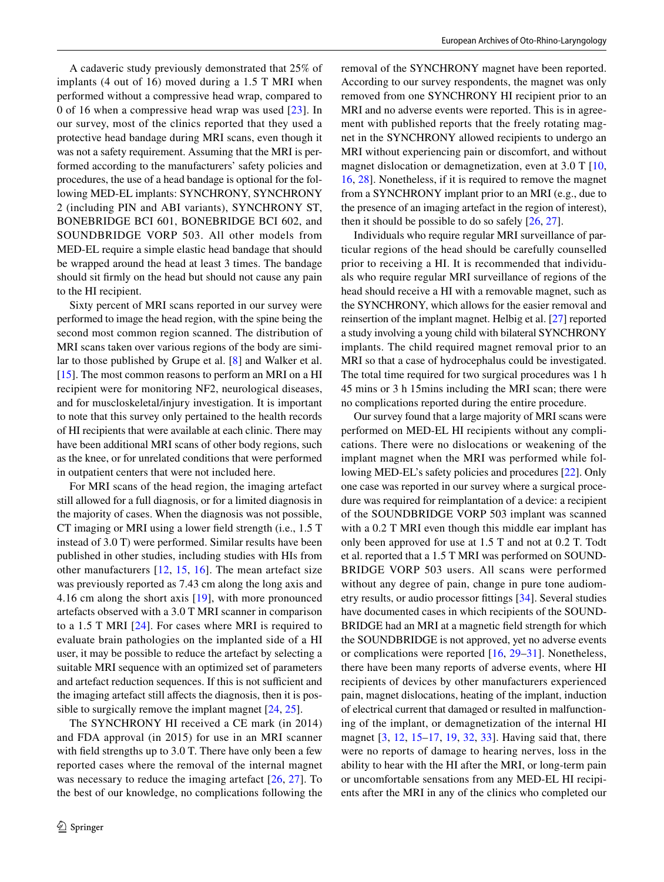A cadaveric study previously demonstrated that 25% of implants (4 out of 16) moved during a 1.5 T MRI when performed without a compressive head wrap, compared to 0 of 16 when a compressive head wrap was used [\[23\]](#page-7-15). In our survey, most of the clinics reported that they used a protective head bandage during MRI scans, even though it was not a safety requirement. Assuming that the MRI is performed according to the manufacturers' safety policies and procedures, the use of a head bandage is optional for the following MED-EL implants: SYNCHRONY, SYNCHRONY 2 (including PIN and ABI variants), SYNCHRONY ST, BONEBRIDGE BCI 601, BONEBRIDGE BCI 602, and SOUNDBRIDGE VORP 503. All other models from MED-EL require a simple elastic head bandage that should be wrapped around the head at least 3 times. The bandage should sit frmly on the head but should not cause any pain to the HI recipient.

Sixty percent of MRI scans reported in our survey were performed to image the head region, with the spine being the second most common region scanned. The distribution of MRI scans taken over various regions of the body are similar to those published by Grupe et al. [[8\]](#page-7-5) and Walker et al. [\[15](#page-7-16)]. The most common reasons to perform an MRI on a HI recipient were for monitoring NF2, neurological diseases, and for muscloskeletal/injury investigation. It is important to note that this survey only pertained to the health records of HI recipients that were available at each clinic. There may have been additional MRI scans of other body regions, such as the knee, or for unrelated conditions that were performed in outpatient centers that were not included here.

For MRI scans of the head region, the imaging artefact still allowed for a full diagnosis, or for a limited diagnosis in the majority of cases. When the diagnosis was not possible, CT imaging or MRI using a lower feld strength (i.e., 1.5 T instead of 3.0 T) were performed. Similar results have been published in other studies, including studies with HIs from other manufacturers [[12,](#page-7-17) [15](#page-7-16), [16](#page-7-8)]. The mean artefact size was previously reported as 7.43 cm along the long axis and 4.16 cm along the short axis [[19](#page-7-11)], with more pronounced artefacts observed with a 3.0 T MRI scanner in comparison to a 1.5 T MRI [[24](#page-7-18)]. For cases where MRI is required to evaluate brain pathologies on the implanted side of a HI user, it may be possible to reduce the artefact by selecting a suitable MRI sequence with an optimized set of parameters and artefact reduction sequences. If this is not sufficient and the imaging artefact still affects the diagnosis, then it is possible to surgically remove the implant magnet [[24,](#page-7-18) [25\]](#page-7-19).

The SYNCHRONY HI received a CE mark (in 2014) and FDA approval (in 2015) for use in an MRI scanner with feld strengths up to 3.0 T. There have only been a few reported cases where the removal of the internal magnet was necessary to reduce the imaging artefact [\[26](#page-7-20), [27](#page-7-21)]. To the best of our knowledge, no complications following the removal of the SYNCHRONY magnet have been reported. According to our survey respondents, the magnet was only removed from one SYNCHRONY HI recipient prior to an MRI and no adverse events were reported. This is in agreement with published reports that the freely rotating magnet in the SYNCHRONY allowed recipients to undergo an MRI without experiencing pain or discomfort, and without magnet dislocation or demagnetization, even at 3.0 T [[10,](#page-7-22) [16](#page-7-8), [28](#page-7-23)]. Nonetheless, if it is required to remove the magnet from a SYNCHRONY implant prior to an MRI (e.g., due to the presence of an imaging artefact in the region of interest), then it should be possible to do so safely [[26,](#page-7-20) [27\]](#page-7-21).

Individuals who require regular MRI surveillance of particular regions of the head should be carefully counselled prior to receiving a HI. It is recommended that individuals who require regular MRI surveillance of regions of the head should receive a HI with a removable magnet, such as the SYNCHRONY, which allows for the easier removal and reinsertion of the implant magnet. Helbig et al. [[27](#page-7-21)] reported a study involving a young child with bilateral SYNCHRONY implants. The child required magnet removal prior to an MRI so that a case of hydrocephalus could be investigated. The total time required for two surgical procedures was 1 h 45 mins or 3 h 15mins including the MRI scan; there were no complications reported during the entire procedure.

Our survey found that a large majority of MRI scans were performed on MED-EL HI recipients without any complications. There were no dislocations or weakening of the implant magnet when the MRI was performed while following MED-EL's safety policies and procedures [\[22](#page-7-14)]. Only one case was reported in our survey where a surgical procedure was required for reimplantation of a device: a recipient of the SOUNDBRIDGE VORP 503 implant was scanned with a  $0.2$  T MRI even though this middle ear implant has only been approved for use at 1.5 T and not at 0.2 T. Todt et al. reported that a 1.5 T MRI was performed on SOUND-BRIDGE VORP 503 users. All scans were performed without any degree of pain, change in pure tone audiometry results, or audio processor fttings [[34](#page-7-24)]. Several studies have documented cases in which recipients of the SOUND-BRIDGE had an MRI at a magnetic feld strength for which the SOUNDBRIDGE is not approved, yet no adverse events or complications were reported [\[16,](#page-7-8) [29](#page-7-25)–[31\]](#page-7-26). Nonetheless, there have been many reports of adverse events, where HI recipients of devices by other manufacturers experienced pain, magnet dislocations, heating of the implant, induction of electrical current that damaged or resulted in malfunctioning of the implant, or demagnetization of the internal HI magnet [[3,](#page-7-2) [12](#page-7-17), [15](#page-7-16)[–17](#page-7-7), [19](#page-7-11), [32,](#page-7-27) [33\]](#page-7-28). Having said that, there were no reports of damage to hearing nerves, loss in the ability to hear with the HI after the MRI, or long-term pain or uncomfortable sensations from any MED-EL HI recipients after the MRI in any of the clinics who completed our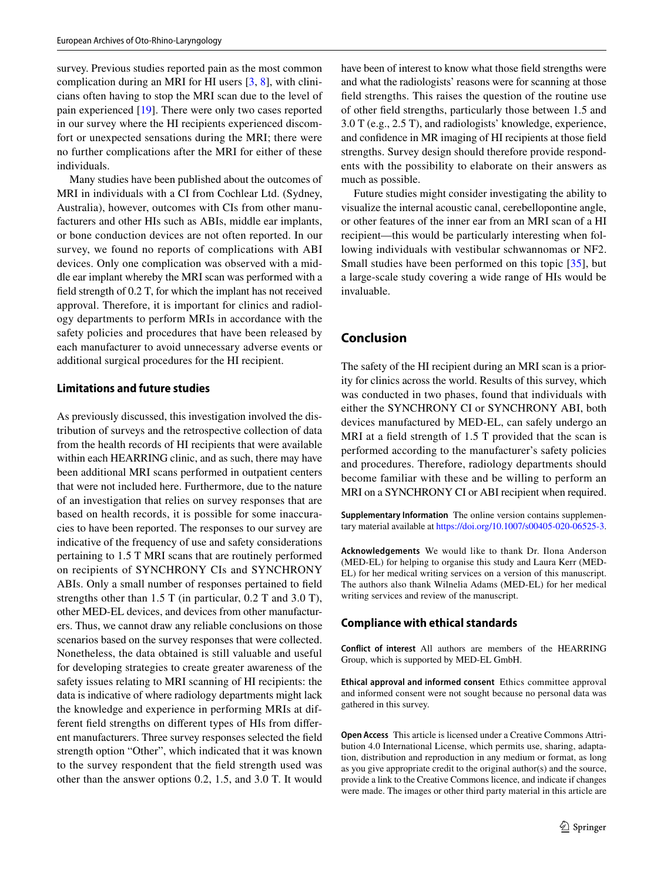survey. Previous studies reported pain as the most common complication during an MRI for HI users [\[3](#page-7-2), [8\]](#page-7-5), with clinicians often having to stop the MRI scan due to the level of pain experienced [\[19](#page-7-11)]. There were only two cases reported in our survey where the HI recipients experienced discomfort or unexpected sensations during the MRI; there were no further complications after the MRI for either of these individuals.

Many studies have been published about the outcomes of MRI in individuals with a CI from Cochlear Ltd. (Sydney, Australia), however, outcomes with CIs from other manufacturers and other HIs such as ABIs, middle ear implants, or bone conduction devices are not often reported. In our survey, we found no reports of complications with ABI devices. Only one complication was observed with a middle ear implant whereby the MRI scan was performed with a feld strength of 0.2 T, for which the implant has not received approval. Therefore, it is important for clinics and radiology departments to perform MRIs in accordance with the safety policies and procedures that have been released by each manufacturer to avoid unnecessary adverse events or additional surgical procedures for the HI recipient.

#### **Limitations and future studies**

As previously discussed, this investigation involved the distribution of surveys and the retrospective collection of data from the health records of HI recipients that were available within each HEARRING clinic, and as such, there may have been additional MRI scans performed in outpatient centers that were not included here. Furthermore, due to the nature of an investigation that relies on survey responses that are based on health records, it is possible for some inaccuracies to have been reported. The responses to our survey are indicative of the frequency of use and safety considerations pertaining to 1.5 T MRI scans that are routinely performed on recipients of SYNCHRONY CIs and SYNCHRONY ABIs. Only a small number of responses pertained to feld strengths other than 1.5 T (in particular, 0.2 T and 3.0 T), other MED-EL devices, and devices from other manufacturers. Thus, we cannot draw any reliable conclusions on those scenarios based on the survey responses that were collected. Nonetheless, the data obtained is still valuable and useful for developing strategies to create greater awareness of the safety issues relating to MRI scanning of HI recipients: the data is indicative of where radiology departments might lack the knowledge and experience in performing MRIs at different feld strengths on diferent types of HIs from diferent manufacturers. Three survey responses selected the feld strength option "Other", which indicated that it was known to the survey respondent that the feld strength used was other than the answer options 0.2, 1.5, and 3.0 T. It would have been of interest to know what those feld strengths were and what the radiologists' reasons were for scanning at those feld strengths. This raises the question of the routine use of other feld strengths, particularly those between 1.5 and 3.0 T (e.g., 2.5 T), and radiologists' knowledge, experience, and confdence in MR imaging of HI recipients at those feld strengths. Survey design should therefore provide respondents with the possibility to elaborate on their answers as much as possible.

Future studies might consider investigating the ability to visualize the internal acoustic canal, cerebellopontine angle, or other features of the inner ear from an MRI scan of a HI recipient—this would be particularly interesting when following individuals with vestibular schwannomas or NF2. Small studies have been performed on this topic [[35](#page-7-29)], but a large-scale study covering a wide range of HIs would be invaluable.

## **Conclusion**

The safety of the HI recipient during an MRI scan is a priority for clinics across the world. Results of this survey, which was conducted in two phases, found that individuals with either the SYNCHRONY CI or SYNCHRONY ABI, both devices manufactured by MED-EL, can safely undergo an MRI at a field strength of 1.5 T provided that the scan is performed according to the manufacturer's safety policies and procedures. Therefore, radiology departments should become familiar with these and be willing to perform an MRI on a SYNCHRONY CI or ABI recipient when required.

**Supplementary Information** The online version contains supplementary material available at<https://doi.org/10.1007/s00405-020-06525-3>.

**Acknowledgements** We would like to thank Dr. Ilona Anderson (MED-EL) for helping to organise this study and Laura Kerr (MED-EL) for her medical writing services on a version of this manuscript. The authors also thank Wilnelia Adams (MED-EL) for her medical writing services and review of the manuscript.

#### **Compliance with ethical standards**

**Conflict of interest** All authors are members of the HEARRING Group, which is supported by MED-EL GmbH.

**Ethical approval and informed consent** Ethics committee approval and informed consent were not sought because no personal data was gathered in this survey.

**Open Access** This article is licensed under a Creative Commons Attribution 4.0 International License, which permits use, sharing, adaptation, distribution and reproduction in any medium or format, as long as you give appropriate credit to the original author(s) and the source, provide a link to the Creative Commons licence, and indicate if changes were made. The images or other third party material in this article are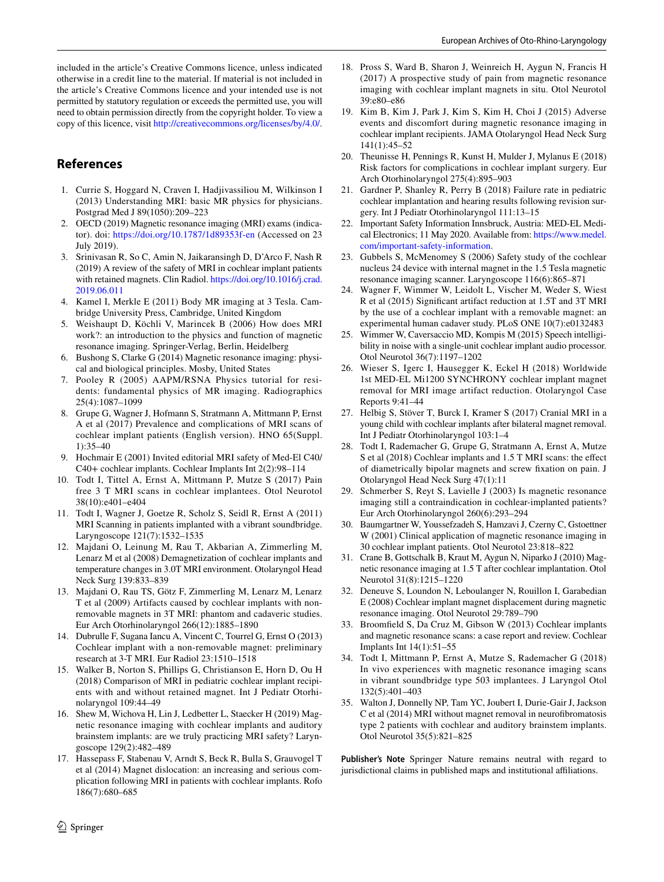included in the article's Creative Commons licence, unless indicated otherwise in a credit line to the material. If material is not included in the article's Creative Commons licence and your intended use is not permitted by statutory regulation or exceeds the permitted use, you will need to obtain permission directly from the copyright holder. To view a copy of this licence, visit <http://creativecommons.org/licenses/by/4.0/>.

# **References**

- <span id="page-7-0"></span>1. Currie S, Hoggard N, Craven I, Hadjivassiliou M, Wilkinson I (2013) Understanding MRI: basic MR physics for physicians. Postgrad Med J 89(1050):209–223
- <span id="page-7-1"></span>2. OECD (2019) Magnetic resonance imaging (MRI) exams (indicator). doi:<https://doi.org/10.1787/1d89353f-en>(Accessed on 23 July 2019).
- <span id="page-7-2"></span>3. Srinivasan R, So C, Amin N, Jaikaransingh D, D'Arco F, Nash R (2019) A review of the safety of MRI in cochlear implant patients with retained magnets. Clin Radiol. [https://doi.org/10.1016/j.crad.](https://doi.org/10.1016/j.crad.2019.06.011) [2019.06.011](https://doi.org/10.1016/j.crad.2019.06.011)
- <span id="page-7-3"></span>4. Kamel I, Merkle E (2011) Body MR imaging at 3 Tesla. Cambridge University Press, Cambridge, United Kingdom
- 5. Weishaupt D, Köchli V, Marincek B (2006) How does MRI work?: an introduction to the physics and function of magnetic resonance imaging. Springer-Verlag, Berlin, Heidelberg
- 6. Bushong S, Clarke G (2014) Magnetic resonance imaging: physical and biological principles. Mosby, United States
- <span id="page-7-4"></span>7. Pooley R (2005) AAPM/RSNA Physics tutorial for residents: fundamental physics of MR imaging. Radiographics 25(4):1087–1099
- <span id="page-7-5"></span>8. Grupe G, Wagner J, Hofmann S, Stratmann A, Mittmann P, Ernst A et al (2017) Prevalence and complications of MRI scans of cochlear implant patients (English version). HNO 65(Suppl. 1):35–40
- <span id="page-7-6"></span>9. Hochmair E (2001) Invited editorial MRI safety of Med-El C40/ C40+ cochlear implants. Cochlear Implants Int 2(2):98–114
- <span id="page-7-22"></span>10. Todt I, Tittel A, Ernst A, Mittmann P, Mutze S (2017) Pain free 3 T MRI scans in cochlear implantees. Otol Neurotol 38(10):e401–e404
- <span id="page-7-9"></span>11. Todt I, Wagner J, Goetze R, Scholz S, Seidl R, Ernst A (2011) MRI Scanning in patients implanted with a vibrant soundbridge. Laryngoscope 121(7):1532–1535
- <span id="page-7-17"></span>12. Majdani O, Leinung M, Rau T, Akbarian A, Zimmerling M, Lenarz M et al (2008) Demagnetization of cochlear implants and temperature changes in 3.0T MRI environment. Otolaryngol Head Neck Surg 139:833–839
- 13. Majdani O, Rau TS, Götz F, Zimmerling M, Lenarz M, Lenarz T et al (2009) Artifacts caused by cochlear implants with nonremovable magnets in 3T MRI: phantom and cadaveric studies. Eur Arch Otorhinolaryngol 266(12):1885–1890
- 14. Dubrulle F, Sugana Iancu A, Vincent C, Tourrel G, Ernst O (2013) Cochlear implant with a non-removable magnet: preliminary research at 3-T MRI. Eur Radiol 23:1510–1518
- <span id="page-7-16"></span>15. Walker B, Norton S, Phillips G, Christianson E, Horn D, Ou H (2018) Comparison of MRI in pediatric cochlear implant recipients with and without retained magnet. Int J Pediatr Otorhinolaryngol 109:44–49
- <span id="page-7-8"></span>16. Shew M, Wichova H, Lin J, Ledbetter L, Staecker H (2019) Magnetic resonance imaging with cochlear implants and auditory brainstem implants: are we truly practicing MRI safety? Laryngoscope 129(2):482–489
- <span id="page-7-7"></span>17. Hassepass F, Stabenau V, Arndt S, Beck R, Bulla S, Grauvogel T et al (2014) Magnet dislocation: an increasing and serious complication following MRI in patients with cochlear implants. Rofo 186(7):680–685
- <span id="page-7-10"></span>18. Pross S, Ward B, Sharon J, Weinreich H, Aygun N, Francis H (2017) A prospective study of pain from magnetic resonance imaging with cochlear implant magnets in situ. Otol Neurotol 39:e80–e86
- <span id="page-7-11"></span>19. Kim B, Kim J, Park J, Kim S, Kim H, Choi J (2015) Adverse events and discomfort during magnetic resonance imaging in cochlear implant recipients. JAMA Otolaryngol Head Neck Surg 141(1):45–52
- <span id="page-7-12"></span>20. Theunisse H, Pennings R, Kunst H, Mulder J, Mylanus E (2018) Risk factors for complications in cochlear implant surgery. Eur Arch Otorhinolaryngol 275(4):895–903
- <span id="page-7-13"></span>21. Gardner P, Shanley R, Perry B (2018) Failure rate in pediatric cochlear implantation and hearing results following revision surgery. Int J Pediatr Otorhinolaryngol 111:13–15
- <span id="page-7-14"></span>22. Important Safety Information Innsbruck, Austria: MED-EL Medical Electronics; 11 May 2020. Available from: [https://www.medel.](https://www.medel.com/important-safety-information) [com/important-safety-information](https://www.medel.com/important-safety-information).
- <span id="page-7-15"></span>23. Gubbels S, McMenomey S (2006) Safety study of the cochlear nucleus 24 device with internal magnet in the 1.5 Tesla magnetic resonance imaging scanner. Laryngoscope 116(6):865–871
- <span id="page-7-18"></span>24. Wagner F, Wimmer W, Leidolt L, Vischer M, Weder S, Wiest R et al (2015) Signifcant artifact reduction at 1.5T and 3T MRI by the use of a cochlear implant with a removable magnet: an experimental human cadaver study. PLoS ONE 10(7):e0132483
- <span id="page-7-19"></span>25. Wimmer W, Caversaccio MD, Kompis M (2015) Speech intelligibility in noise with a single-unit cochlear implant audio processor. Otol Neurotol 36(7):1197–1202
- <span id="page-7-20"></span>26. Wieser S, Igerc I, Hausegger K, Eckel H (2018) Worldwide 1st MED-EL Mi1200 SYNCHRONY cochlear implant magnet removal for MRI image artifact reduction. Otolaryngol Case Reports 9:41–44
- <span id="page-7-21"></span>27. Helbig S, Stöver T, Burck I, Kramer S (2017) Cranial MRI in a young child with cochlear implants after bilateral magnet removal. Int J Pediatr Otorhinolaryngol 103:1–4
- <span id="page-7-23"></span>28. Todt I, Rademacher G, Grupe G, Stratmann A, Ernst A, Mutze S et al (2018) Cochlear implants and 1.5 T MRI scans: the efect of diametrically bipolar magnets and screw fxation on pain. J Otolaryngol Head Neck Surg 47(1):11
- <span id="page-7-25"></span>29. Schmerber S, Reyt S, Lavielle J (2003) Is magnetic resonance imaging still a contraindication in cochlear-implanted patients? Eur Arch Otorhinolaryngol 260(6):293–294
- 30. Baumgartner W, Youssefzadeh S, Hamzavi J, Czerny C, Gstoettner W (2001) Clinical application of magnetic resonance imaging in 30 cochlear implant patients. Otol Neurotol 23:818–822
- <span id="page-7-26"></span>31. Crane B, Gottschalk B, Kraut M, Aygun N, Niparko J (2010) Magnetic resonance imaging at 1.5 T after cochlear implantation. Otol Neurotol 31(8):1215–1220
- <span id="page-7-27"></span>32. Deneuve S, Loundon N, Leboulanger N, Rouillon I, Garabedian E (2008) Cochlear implant magnet displacement during magnetic resonance imaging. Otol Neurotol 29:789–790
- <span id="page-7-28"></span>33. Broomfeld S, Da Cruz M, Gibson W (2013) Cochlear implants and magnetic resonance scans: a case report and review. Cochlear Implants Int 14(1):51–55
- <span id="page-7-24"></span>34. Todt I, Mittmann P, Ernst A, Mutze S, Rademacher G (2018) In vivo experiences with magnetic resonance imaging scans in vibrant soundbridge type 503 implantees. J Laryngol Otol 132(5):401–403
- <span id="page-7-29"></span>35. Walton J, Donnelly NP, Tam YC, Joubert I, Durie-Gair J, Jackson C et al (2014) MRI without magnet removal in neurofbromatosis type 2 patients with cochlear and auditory brainstem implants. Otol Neurotol 35(5):821–825

**Publisher's Note** Springer Nature remains neutral with regard to jurisdictional claims in published maps and institutional affiliations.